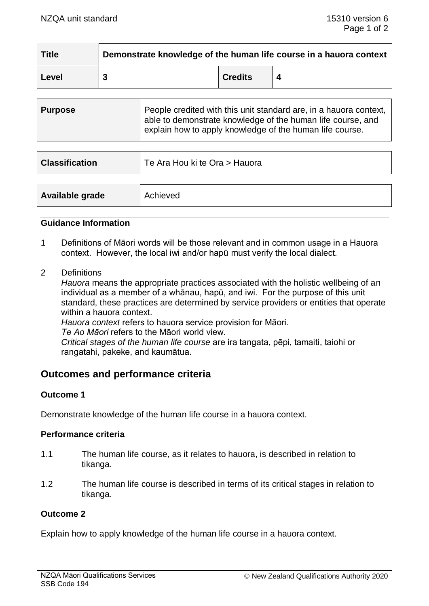| <b>Title</b> | Demonstrate knowledge of the human life course in a hauora context |                |  |  |
|--------------|--------------------------------------------------------------------|----------------|--|--|
| Level        |                                                                    | <b>Credits</b> |  |  |

| <b>Purpose</b> | People credited with this unit standard are, in a hauora context,<br>able to demonstrate knowledge of the human life course, and<br>$\frac{1}{2}$ explain how to apply knowledge of the human life course. |
|----------------|------------------------------------------------------------------------------------------------------------------------------------------------------------------------------------------------------------|
|                |                                                                                                                                                                                                            |

| <b>Classification</b> | Te Ara Hou ki te Ora > Hauora |
|-----------------------|-------------------------------|
|                       |                               |
| Available grade       | Achieved                      |

### **Guidance Information**

- 1 Definitions of Māori words will be those relevant and in common usage in a Hauora context. However, the local iwi and/or hapū must verify the local dialect.
- 2 Definitions

*Hauora* means the appropriate practices associated with the holistic wellbeing of an individual as a member of a whānau, hapū, and iwi. For the purpose of this unit standard, these practices are determined by service providers or entities that operate within a hauora context.

*Hauora context* refers to hauora service provision for Māori.

*Te Ao Māori* refers to the Māori world view.

*Critical stages of the human life course* are ira tangata, pēpi, tamaiti, taiohi or rangatahi, pakeke, and kaumātua.

# **Outcomes and performance criteria**

# **Outcome 1**

Demonstrate knowledge of the human life course in a hauora context.

### **Performance criteria**

- 1.1 The human life course, as it relates to hauora, is described in relation to tikanga.
- 1.2 The human life course is described in terms of its critical stages in relation to tikanga.

#### **Outcome 2**

Explain how to apply knowledge of the human life course in a hauora context.